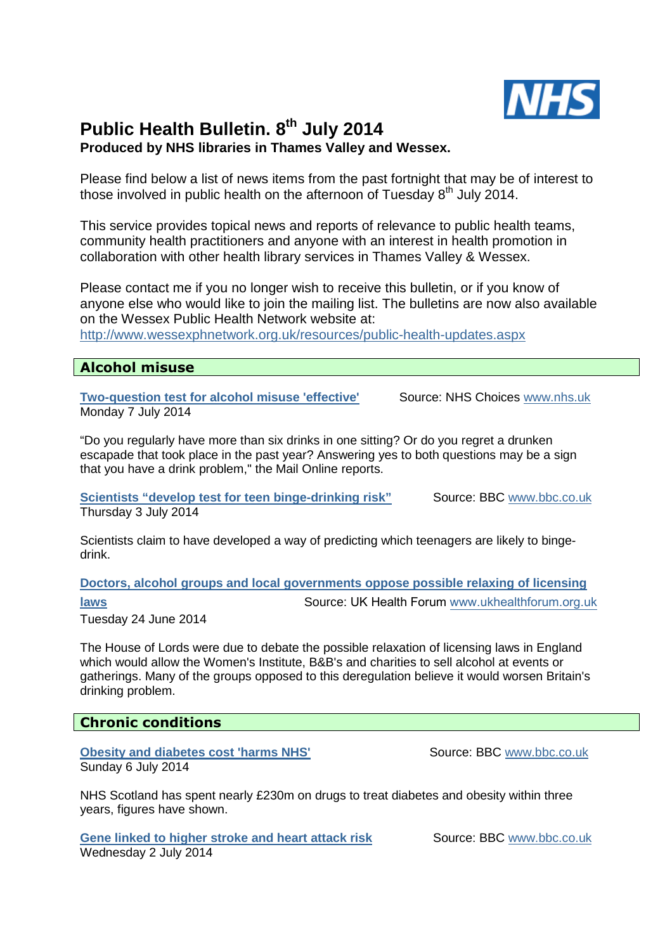

# **Public Health Bulletin. 8th July 2014 Produced by NHS libraries in Thames Valley and Wessex.**

Please find below a list of news items from the past fortnight that may be of interest to those involved in public health on the afternoon of Tuesday  $8<sup>th</sup>$  July 2014.

This service provides topical news and reports of relevance to public health teams, community health practitioners and anyone with an interest in health promotion in collaboration with other health library services in Thames Valley & Wessex.

Please contact me if you no longer wish to receive this bulletin, or if you know of anyone else who would like to join the mailing list. The bulletins are now also available on the Wessex Public Health Network website at:

http://www.wessexphnetwork.org.uk/resources/public-health-updates.aspx

### **Alcohol misuse**

**Two-question test for alcohol misuse 'effective'** Source: NHS Choices www.nhs.uk Monday 7 July 2014

"Do you regularly have more than six drinks in one sitting? Or do you regret a drunken escapade that took place in the past year? Answering yes to both questions may be a sign that you have a drink problem," the Mail Online reports.

**Scientists "develop test for teen binge-drinking risk"** Source: BBC www.bbc.co.uk Thursday 3 July 2014

Scientists claim to have developed a way of predicting which teenagers are likely to bingedrink.

**Doctors, alcohol groups and local governments oppose possible relaxing of licensing** 

**laws Source: UK Health Forum www.ukhealthforum.org.uk** 

Tuesday 24 June 2014

The House of Lords were due to debate the possible relaxation of licensing laws in England which would allow the Women's Institute, B&B's and charities to sell alcohol at events or gatherings. Many of the groups opposed to this deregulation believe it would worsen Britain's drinking problem.

# **Chronic conditions**

**Obesity and diabetes cost 'harms NHS'** Source: BBC www.bbc.co.uk Sunday 6 July 2014

NHS Scotland has spent nearly £230m on drugs to treat diabetes and obesity within three years, figures have shown.

**Gene linked to higher stroke and heart attack risk Source: BBC www.bbc.co.uk** Wednesday 2 July 2014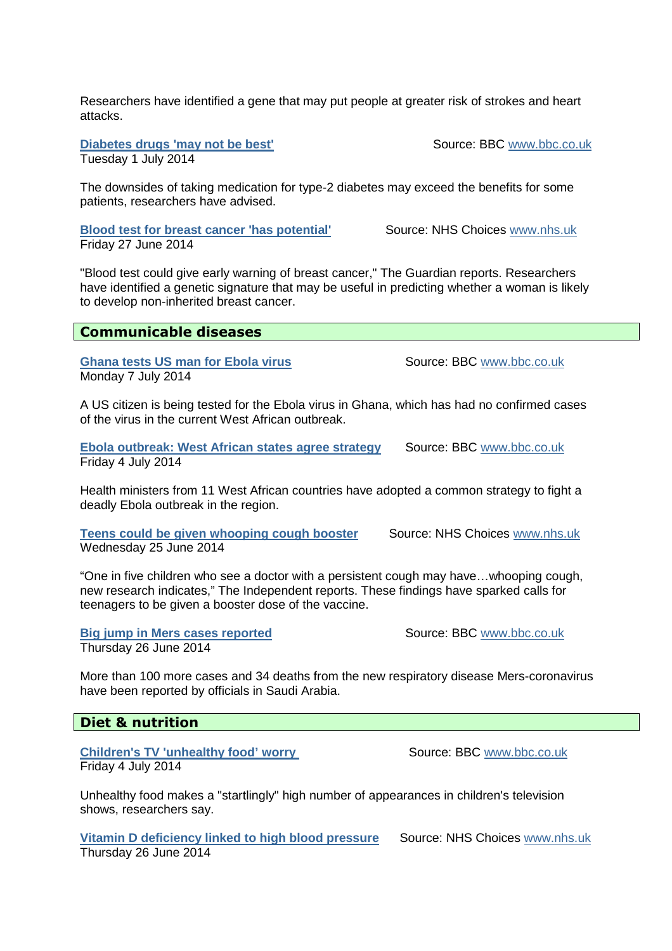Researchers have identified a gene that may put people at greater risk of strokes and heart attacks.

**Diabetes drugs 'may not be best'** Source: BBC www.bbc.co.uk Tuesday 1 July 2014

The downsides of taking medication for type-2 diabetes may exceed the benefits for some patients, researchers have advised.

**Blood test for breast cancer 'has potential'** Source: NHS Choices www.nhs.uk Friday 27 June 2014

"Blood test could give early warning of breast cancer," The Guardian reports. Researchers have identified a genetic signature that may be useful in predicting whether a woman is likely to develop non-inherited breast cancer.

**Ghana tests US man for Ebola virus Summer Source: BBC www.bbc.co.uk** Monday 7 July 2014

A US citizen is being tested for the Ebola virus in Ghana, which has had no confirmed cases of the virus in the current West African outbreak.

**Ebola outbreak: West African states agree strategy Source: BBC www.bbc.co.uk** Friday 4 July 2014

Health ministers from 11 West African countries have adopted a common strategy to fight a deadly Ebola outbreak in the region.

**Teens could be given whooping cough booster Source: NHS Choices www.nhs.uk** Wednesday 25 June 2014

"One in five children who see a doctor with a persistent cough may have…whooping cough, new research indicates," The Independent reports. These findings have sparked calls for teenagers to be given a booster dose of the vaccine.

**Big jump in Mers cases reported Source: BBC www.bbc.co.uk** Thursday 26 June 2014

More than 100 more cases and 34 deaths from the new respiratory disease Mers-coronavirus have been reported by officials in Saudi Arabia.

# **Diet & nutrition**

**Children's TV 'unhealthy food' worry Source: BBC www.bbc.co.uk** Friday 4 July 2014

Unhealthy food makes a "startlingly" high number of appearances in children's television shows, researchers say.

**Vitamin D deficiency linked to high blood pressure** Source: NHS Choices www.nhs.uk Thursday 26 June 2014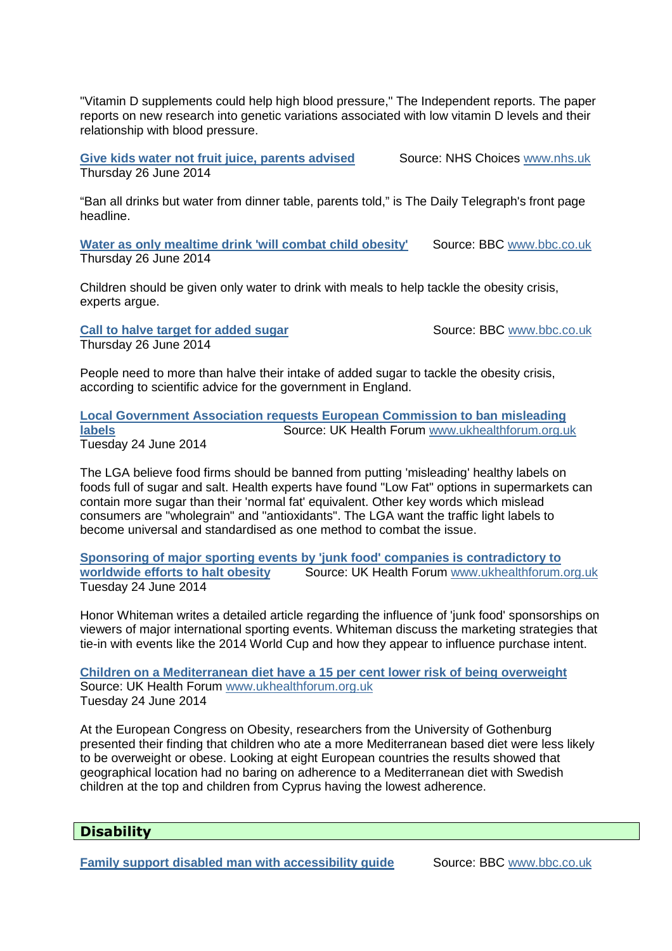"Vitamin D supplements could help high blood pressure," The Independent reports. The paper reports on new research into genetic variations associated with low vitamin D levels and their relationship with blood pressure.

**Give kids water not fruit juice, parents advised Source: NHS Choices www.nhs.uk** Thursday 26 June 2014

"Ban all drinks but water from dinner table, parents told," is The Daily Telegraph's front page headline.

**Water as only mealtime drink 'will combat child obesity'** Source: BBC www.bbc.co.uk Thursday 26 June 2014

Children should be given only water to drink with meals to help tackle the obesity crisis, experts argue.

**Call to halve target for added sugar** Source: BBC www.bbc.co.uk Thursday 26 June 2014

People need to more than halve their intake of added sugar to tackle the obesity crisis, according to scientific advice for the government in England.

**Local Government Association requests European Commission to ban misleading labels** Source: UK Health Forum www.ukhealthforum.org.uk Tuesday 24 June 2014

The LGA believe food firms should be banned from putting 'misleading' healthy labels on foods full of sugar and salt. Health experts have found "Low Fat" options in supermarkets can contain more sugar than their 'normal fat' equivalent. Other key words which mislead consumers are "wholegrain" and "antioxidants". The LGA want the traffic light labels to become universal and standardised as one method to combat the issue.

**Sponsoring of major sporting events by 'junk food' companies is contradictory to worldwide efforts to halt obesity** Source: UK Health Forum www.ukhealthforum.org.uk Tuesday 24 June 2014

Honor Whiteman writes a detailed article regarding the influence of 'junk food' sponsorships on viewers of major international sporting events. Whiteman discuss the marketing strategies that tie-in with events like the 2014 World Cup and how they appear to influence purchase intent.

**Children on a Mediterranean diet have a 15 per cent lower risk of being overweight** Source: UK Health Forum www.ukhealthforum.org.uk Tuesday 24 June 2014

At the European Congress on Obesity, researchers from the University of Gothenburg presented their finding that children who ate a more Mediterranean based diet were less likely to be overweight or obese. Looking at eight European countries the results showed that geographical location had no baring on adherence to a Mediterranean diet with Swedish children at the top and children from Cyprus having the lowest adherence.

# **Disability**

**Family support disabled man with accessibility guide Source: BBC www.bbc.co.uk**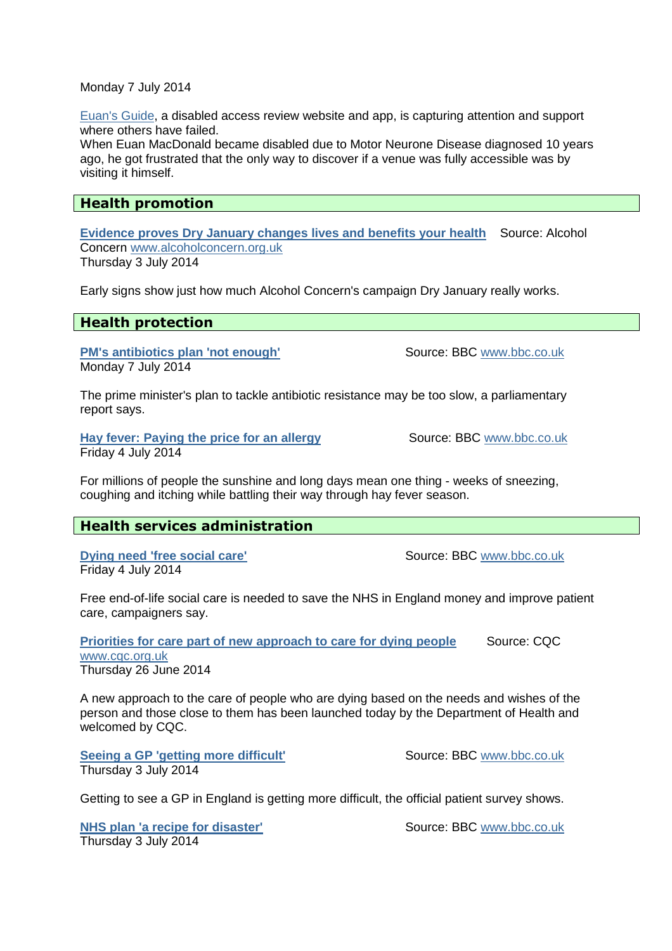#### Monday 7 July 2014

Euan's Guide, a disabled access review website and app, is capturing attention and support where others have failed.

When Euan MacDonald became disabled due to Motor Neurone Disease diagnosed 10 years ago, he got frustrated that the only way to discover if a venue was fully accessible was by visiting it himself.

### **Health promotion**

**Evidence proves Dry January changes lives and benefits your health** Source: Alcohol Concern www.alcoholconcern.org.uk Thursday 3 July 2014

Early signs show just how much Alcohol Concern's campaign Dry January really works.

### **Health protection**

**PM's antibiotics plan 'not enough'** Source: BBC www.bbc.co.uk Monday 7 July 2014

The prime minister's plan to tackle antibiotic resistance may be too slow, a parliamentary report says.

**Hay fever: Paying the price for an allergy Source: BBC www.bbc.co.uk** Friday 4 July 2014

For millions of people the sunshine and long days mean one thing - weeks of sneezing, coughing and itching while battling their way through hay fever season.

# **Health services administration**

**Dying need 'free social care'** Source: BBC www.bbc.co.uk Friday 4 July 2014

Free end-of-life social care is needed to save the NHS in England money and improve patient care, campaigners say.

**Priorities for care part of new approach to care for dying people Source: CQC** www.cqc.org.uk Thursday 26 June 2014

A new approach to the care of people who are dying based on the needs and wishes of the person and those close to them has been launched today by the Department of Health and welcomed by CQC.

**Seeing a GP 'getting more difficult'** Source: BBC www.bbc.co.uk Thursday 3 July 2014

Getting to see a GP in England is getting more difficult, the official patient survey shows.

**NHS plan 'a recipe for disaster'** Source: BBC www.bbc.co.uk Thursday 3 July 2014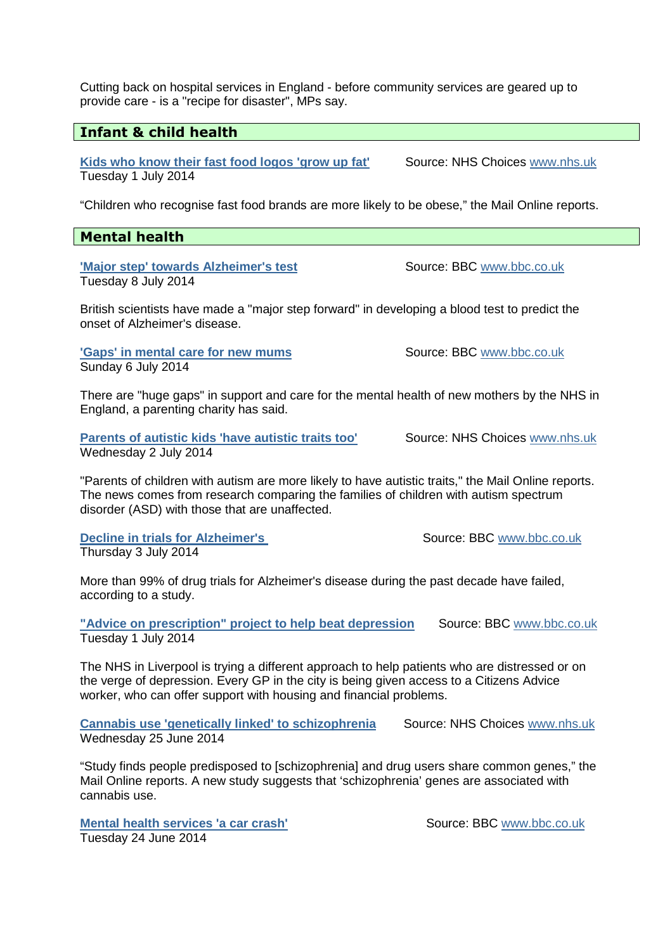Cutting back on hospital services in England - before community services are geared up to provide care - is a "recipe for disaster", MPs say.

# **Infant & child health**

**Kids who know their fast food logos 'grow up fat'** Source: NHS Choices www.nhs.uk Tuesday 1 July 2014

"Children who recognise fast food brands are more likely to be obese," the Mail Online reports.

# **Mental health**

**'Major step' towards Alzheimer's test** Source: BBC www.bbc.co.uk Tuesday 8 July 2014

British scientists have made a "major step forward" in developing a blood test to predict the onset of Alzheimer's disease.

**'Gaps' in mental care for new mums** Source: BBC www.bbc.co.uk Sunday 6 July 2014

There are "huge gaps" in support and care for the mental health of new mothers by the NHS in England, a parenting charity has said.

**Parents of autistic kids 'have autistic traits too'** Source: NHS Choices www.nhs.uk Wednesday 2 July 2014

"Parents of children with autism are more likely to have autistic traits," the Mail Online reports. The news comes from research comparing the families of children with autism spectrum disorder (ASD) with those that are unaffected.

**Decline in trials for Alzheimer's** Source: BBC www.bbc.co.uk Thursday 3 July 2014

More than 99% of drug trials for Alzheimer's disease during the past decade have failed, according to a study.

**"Advice on prescription" project to help beat depression** Source: BBC www.bbc.co.uk Tuesday 1 July 2014

The NHS in Liverpool is trying a different approach to help patients who are distressed or on the verge of depression. Every GP in the city is being given access to a Citizens Advice worker, who can offer support with housing and financial problems.

**Cannabis use 'genetically linked' to schizophrenia Source: NHS Choices www.nhs.uk** Wednesday 25 June 2014

"Study finds people predisposed to [schizophrenia] and drug users share common genes," the Mail Online reports. A new study suggests that 'schizophrenia' genes are associated with cannabis use.

**Mental health services 'a car crash'** Source: BBC www.bbc.co.uk Tuesday 24 June 2014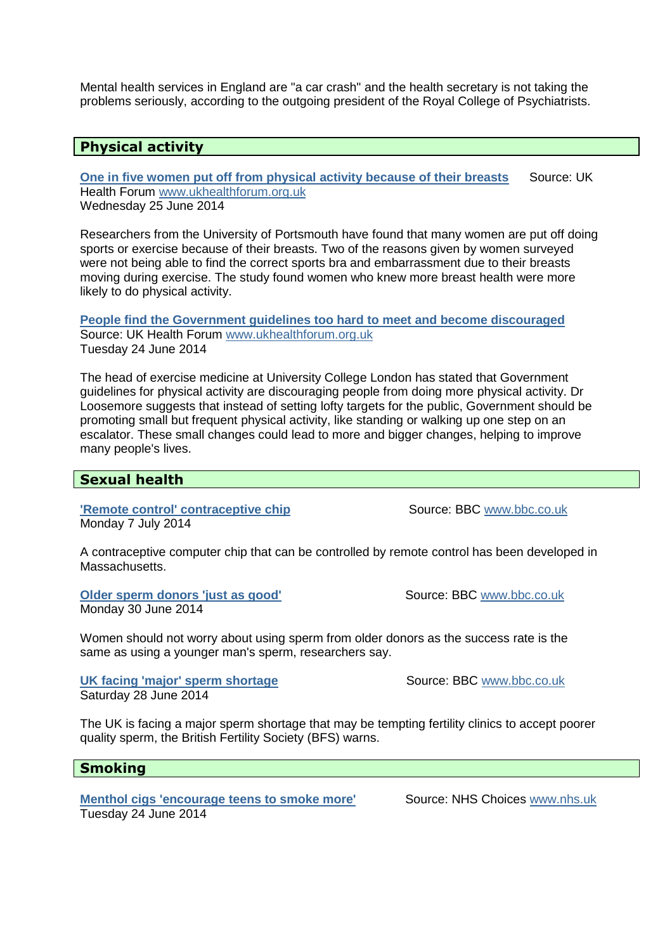Mental health services in England are "a car crash" and the health secretary is not taking the problems seriously, according to the outgoing president of the Royal College of Psychiatrists.

## **Physical activity**

**One in five women put off from physical activity because of their breasts** Source: UK Health Forum www.ukhealthforum.org.uk Wednesday 25 June 2014

Researchers from the University of Portsmouth have found that many women are put off doing sports or exercise because of their breasts. Two of the reasons given by women surveyed were not being able to find the correct sports bra and embarrassment due to their breasts moving during exercise. The study found women who knew more breast health were more likely to do physical activity.

**People find the Government guidelines too hard to meet and become discouraged** Source: UK Health Forum www.ukhealthforum.org.uk Tuesday 24 June 2014

The head of exercise medicine at University College London has stated that Government guidelines for physical activity are discouraging people from doing more physical activity. Dr Loosemore suggests that instead of setting lofty targets for the public, Government should be promoting small but frequent physical activity, like standing or walking up one step on an escalator. These small changes could lead to more and bigger changes, helping to improve many people's lives.

### **Sexual health**

**'Remote control' contraceptive chip** Source: BBC www.bbc.co.uk Monday 7 July 2014

A contraceptive computer chip that can be controlled by remote control has been developed in Massachusetts.

**Older sperm donors 'just as good'** Source: BBC www.bbc.co.uk Monday 30 June 2014

Women should not worry about using sperm from older donors as the success rate is the same as using a younger man's sperm, researchers say.

**UK facing 'major' sperm shortage Source: BBC www.bbc.co.uk co.uk** Saturday 28 June 2014

The UK is facing a major sperm shortage that may be tempting fertility clinics to accept poorer quality sperm, the British Fertility Society (BFS) warns.

### **Smoking**

**Menthol cigs 'encourage teens to smoke more'** Source: NHS Choices www.nhs.uk Tuesday 24 June 2014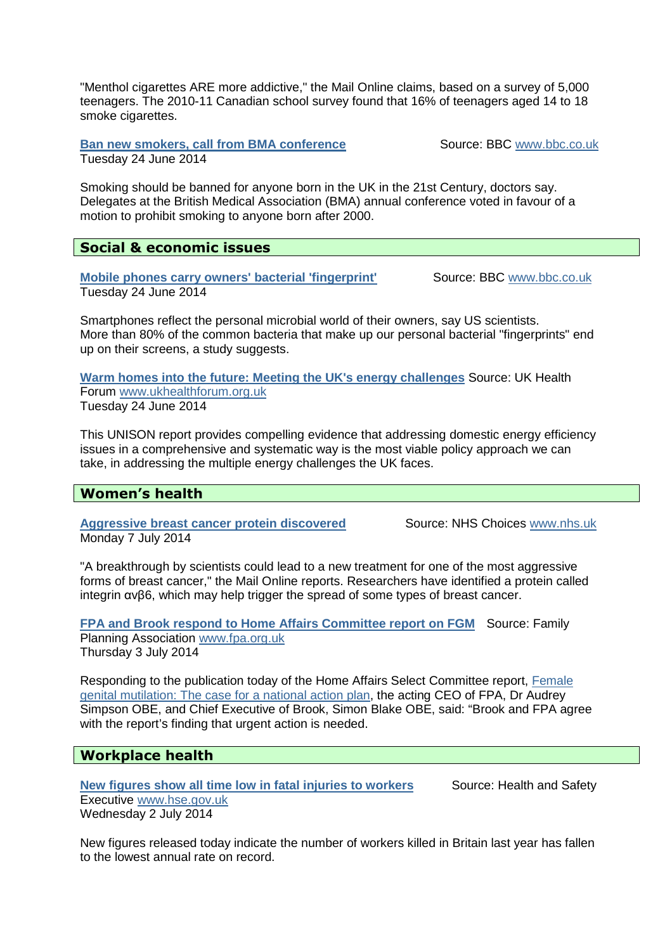"Menthol cigarettes ARE more addictive," the Mail Online claims, based on a survey of 5,000 teenagers. The 2010-11 Canadian school survey found that 16% of teenagers aged 14 to 18 smoke cigarettes.

**Ban new smokers, call from BMA conference Source: BBC www.bbc.co.uk** Tuesday 24 June 2014

Smoking should be banned for anyone born in the UK in the 21st Century, doctors say. Delegates at the British Medical Association (BMA) annual conference voted in favour of a motion to prohibit smoking to anyone born after 2000.

## **Social & economic issues**

**Mobile phones carry owners' bacterial 'fingerprint'** Source: BBC www.bbc.co.uk Tuesday 24 June 2014

Smartphones reflect the personal microbial world of their owners, say US scientists. More than 80% of the common bacteria that make up our personal bacterial "fingerprints" end up on their screens, a study suggests.

**Warm homes into the future: Meeting the UK's energy challenges** Source: UK Health Forum www.ukhealthforum.org.uk Tuesday 24 June 2014

This UNISON report provides compelling evidence that addressing domestic energy efficiency issues in a comprehensive and systematic way is the most viable policy approach we can take, in addressing the multiple energy challenges the UK faces.

# **Women's health**

**Aggressive breast cancer protein discovered Source: NHS Choices www.nhs.uk** Monday 7 July 2014

"A breakthrough by scientists could lead to a new treatment for one of the most aggressive forms of breast cancer," the Mail Online reports. Researchers have identified a protein called integrin αvβ6, which may help trigger the spread of some types of breast cancer.

**FPA and Brook respond to Home Affairs Committee report on FGM** Source: Family Planning Association www.fpa.org.uk Thursday 3 July 2014

Responding to the publication today of the Home Affairs Select Committee report, Female genital mutilation: The case for a national action plan, the acting CEO of FPA, Dr Audrey Simpson OBE, and Chief Executive of Brook, Simon Blake OBE, said: "Brook and FPA agree with the report's finding that urgent action is needed.

# **Workplace health**

**New figures show all time low in fatal injuries to workers Source: Health and Safety** Executive www.hse.gov.uk Wednesday 2 July 2014

New figures released today indicate the number of workers killed in Britain last year has fallen to the lowest annual rate on record.